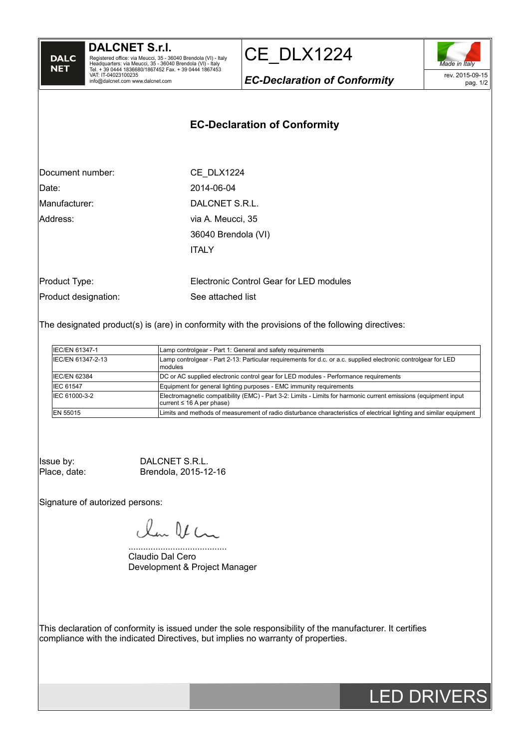| DALC |
|------|
| NET  |
|      |

CE\_DLX1224



*EC-Declaration of Conformity*

## **EC-Declaration of Conformity**

| Document number:     | CE DLX1224                              |
|----------------------|-----------------------------------------|
| Date:                | 2014-06-04                              |
| Manufacturer:        | DALCNET S.R.L.                          |
| Address:             | via A. Meucci, 35                       |
|                      | 36040 Brendola (VI)                     |
|                      | <b>ITALY</b>                            |
|                      |                                         |
| Product Type:        | Electronic Control Gear for LED modules |
| Product designation: | See attached list                       |

The designated product(s) is (are) in conformity with the provisions of the following directives:

| IEC/EN 61347-1    | Lamp controlgear - Part 1: General and safety requirements                                                                                        |
|-------------------|---------------------------------------------------------------------------------------------------------------------------------------------------|
| IEC/EN 61347-2-13 | Lamp controlgear - Part 2-13: Particular requirements for d.c. or a.c. supplied electronic controlgear for LED<br><i>modules</i>                  |
| IEC/EN 62384      | DC or AC supplied electronic control gear for LED modules - Performance requirements                                                              |
| IEC 61547         | Equipment for general lighting purposes - EMC immunity requirements                                                                               |
| IEC 61000-3-2     | Electromagnetic compatibility (EMC) - Part 3-2: Limits - Limits for harmonic current emissions (equipment input<br>current $\leq 16$ A per phase) |
| EN 55015          | Limits and methods of measurement of radio disturbance characteristics of electrical lighting and similar equipment                               |

Issue by: <br>
Place, date: Brendola, 2015-12 Brendola, 2015-12-16

Signature of autorized persons:

la Va

........................................ Claudio Dal Cero Development & Project Manager

This declaration of conformity is issued under the sole responsibility of the manufacturer. It certifies compliance with the indicated Directives, but implies no warranty of properties.